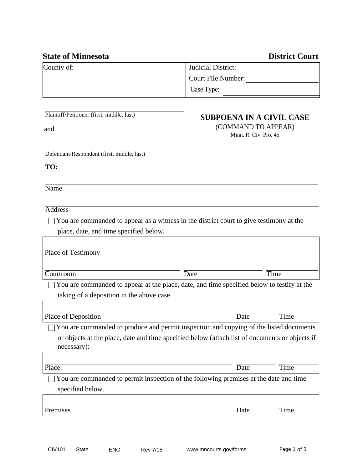|                                                                                                               | Judicial District:                           |      |
|---------------------------------------------------------------------------------------------------------------|----------------------------------------------|------|
|                                                                                                               | Court File Number:                           |      |
|                                                                                                               | Case Type:                                   |      |
| Plaintiff/Petitioner (first, middle, last)                                                                    | <b>SUBPOENA IN A CIVIL CASE</b>              |      |
| and                                                                                                           | (COMMAND TO APPEAR)<br>Minn. R. Civ. Pro. 45 |      |
| Defendant/Respondent (first, middle, last)                                                                    |                                              |      |
| TO:                                                                                                           |                                              |      |
| Name                                                                                                          |                                              |      |
| <b>Address</b>                                                                                                |                                              |      |
| You are commanded to appear as a witness in the district court to give testimony at the                       |                                              |      |
| place, date, and time specified below.                                                                        |                                              |      |
|                                                                                                               |                                              |      |
| Place of Testimony                                                                                            |                                              |      |
|                                                                                                               |                                              |      |
|                                                                                                               |                                              |      |
| Courtroom                                                                                                     | Date                                         | Time |
| You are commanded to appear at the place, date, and time specified below to testify at the                    |                                              |      |
| taking of a deposition in the above case.                                                                     |                                              |      |
|                                                                                                               |                                              |      |
| Place of Deposition                                                                                           | Date                                         | Time |
| You are commanded to produce and permit inspection and copying of the listed documents                        |                                              |      |
| or objects at the place, date and time specified below (attach list of documents or objects if<br>necessary): |                                              |      |
| Place                                                                                                         | Date                                         | Time |
| You are commanded to permit inspection of the following premises at the date and time                         |                                              |      |
| specified below.                                                                                              |                                              |      |
| Premises                                                                                                      | Date                                         | Time |

## **State of Minnesota** District Court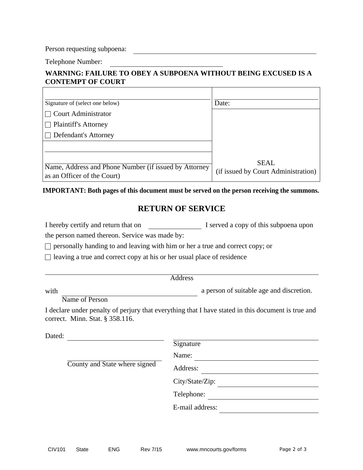Person requesting subpoena:

Telephone Number:

 $\Gamma$ 

## **WARNING: FAILURE TO OBEY A SUBPOENA WITHOUT BEING EXCUSED IS A CONTEMPT OF COURT**

Ť

| Signature of (select one below)                                                      | Date:                                       |
|--------------------------------------------------------------------------------------|---------------------------------------------|
| <b>Court Administrator</b>                                                           |                                             |
| $\Box$ Plaintiff's Attorney                                                          |                                             |
| Defendant's Attorney                                                                 |                                             |
|                                                                                      |                                             |
| Name, Address and Phone Number (if issued by Attorney<br>as an Officer of the Court) | SEAL<br>(if issued by Court Administration) |

## **IMPORTANT: Both pages of this document must be served on the person receiving the summons.**

## **RETURN OF SERVICE**

I hereby certify and return that on I served a copy of this subpoena upon

the person named thereon. Service was made by:

 $\Box$  personally handing to and leaving with him or her a true and correct copy; or

 $\Box$  leaving a true and correct copy at his or her usual place of residence

| ı<br>ι<br>U. |
|--------------|
|--------------|

a person of suitable age and discretion.

Name of Person

with

I declare under penalty of perjury that everything that I have stated in this document is true and correct. Minn. Stat. § 358.116.

| Dated:                        |          |                 |
|-------------------------------|----------|-----------------|
|                               |          | Signature       |
| County and State where signed |          | Name:           |
|                               | Address: |                 |
|                               |          | City/State/Zip: |
|                               |          | Telephone:      |
|                               |          | E-mail address: |
|                               |          |                 |

٦